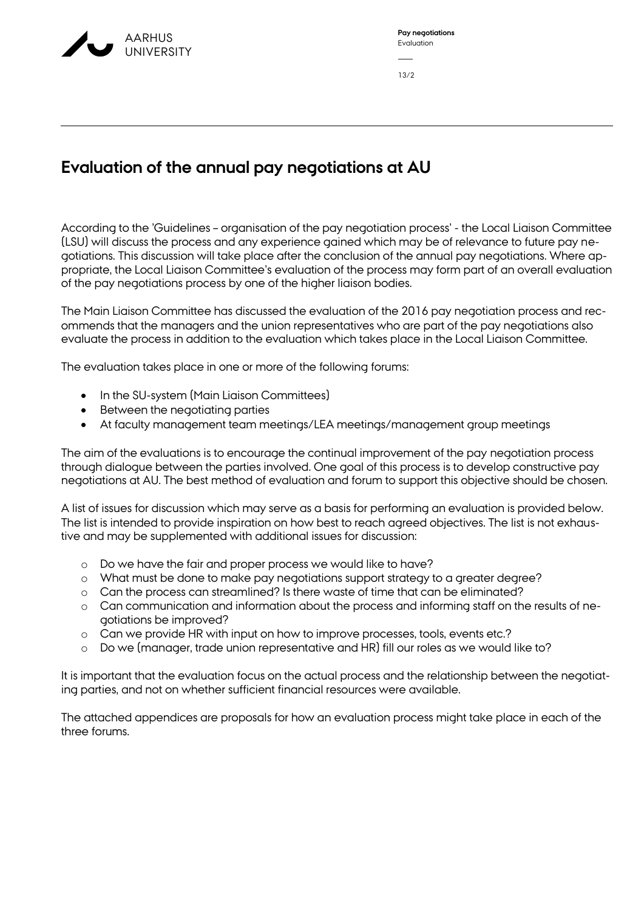

| Pay negotiations |
|------------------|
| Evaluation       |
|                  |
| 13/2             |

## **Evaluation of the annual pay negotiations at AU**

According to the 'Guidelines – organisation of the pay negotiation process' - the Local Liaison Committee (LSU) will discuss the process and any experience gained which may be of relevance to future pay negotiations. This discussion will take place after the conclusion of the annual pay negotiations. Where appropriate, the Local Liaison Committee's evaluation of the process may form part of an overall evaluation of the pay negotiations process by one of the higher liaison bodies.

The Main Liaison Committee has discussed the evaluation of the 2016 pay negotiation process and recommends that the managers and the union representatives who are part of the pay negotiations also evaluate the process in addition to the evaluation which takes place in the Local Liaison Committee.

The evaluation takes place in one or more of the following forums:

- In the SU-system (Main Liaison Committees)
- Between the negotiating parties
- At faculty management team meetings/LEA meetings/management group meetings

The aim of the evaluations is to encourage the continual improvement of the pay negotiation process through dialogue between the parties involved. One goal of this process is to develop constructive pay negotiations at AU. The best method of evaluation and forum to support this objective should be chosen.

A list of issues for discussion which may serve as a basis for performing an evaluation is provided below. The list is intended to provide inspiration on how best to reach agreed objectives. The list is not exhaustive and may be supplemented with additional issues for discussion:

- o Do we have the fair and proper process we would like to have?
- o What must be done to make pay negotiations support strategy to a greater degree?
- o Can the process can streamlined? Is there waste of time that can be eliminated?
- o Can communication and information about the process and informing staff on the results of negotiations be improved?
- o Can we provide HR with input on how to improve processes, tools, events etc.?
- o Do we (manager, trade union representative and HR) fill our roles as we would like to?

It is important that the evaluation focus on the actual process and the relationship between the negotiating parties, and not on whether sufficient financial resources were available.

The attached appendices are proposals for how an evaluation process might take place in each of the three forums.